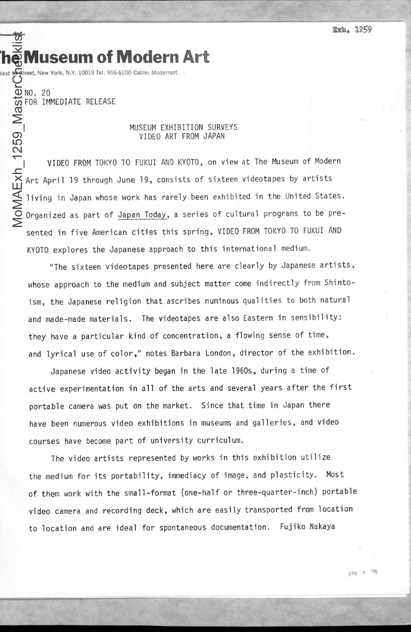**Vest 53 Street, New York, N.Y. 10019 Tel. 956-6100 Cable: Modernart** MoMAExh\_1259\_MasterCheeklist

**'heMuseum** of 'Modern **Art**

NO. 20 FOR IMMEDIATE RELEASE

## MUSEUM EXHIBITION SURVEYS VIDEO ART FROM JAPAN

VIDEO FROM TOKYO TO FUKUI AND KYOTO, on view at The Museum of Modern Art April 19 through June 19, consists of sixteen videotapes by artists living in Japan whose work has rarely been exhibited in the United States. Organized as part of Japan Today, a series of cultural programs to be presented in five American cities this spring, VIDEO FROM TOKYO TO FUKUI AND KYOTO explores the Japanese approach to this international medium.

"The sixteen videotapes presented here are clearly by Japanese artists, whose approach to the medium and subject matter come indirectly from Shintoism, the Japanese religion that ascribes numinous qualities to both natural and made-made materials. The videotapes are also Eastern in sensibility: they have a particular kind of concentration, a flowing sense of time, and lyrical use of color," notes Barbara London, director of the exhibition.

Japanese video activity began in the late 1960s, during a time of active experimentation in all of the arts and several years after the first portable camera was put on the market. Since that time in Japan there have been numerous video exhibitions in museums and galleries, and video courses have become part of university curriculum.

The video artists represented by works in this exhibition utilize the medium for its portability, immediacy of image, and plasticity. Most of them work with the small-format (one-half or three-quarter-inch) portable video camera and recording deck, which are easily transported from location to location and are ideal for spontaneous documentation. Fujiko Nakaya